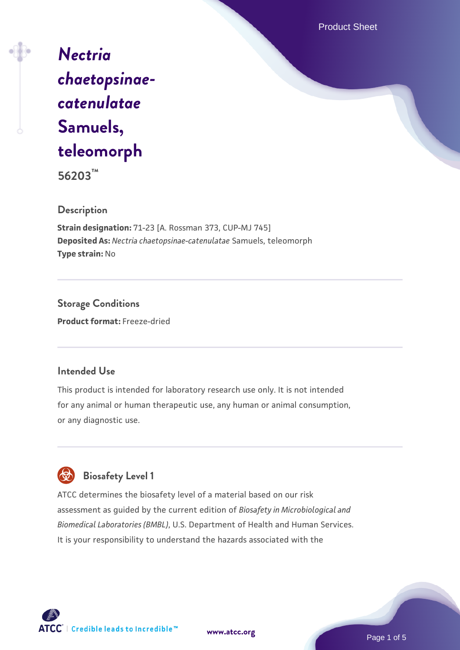Product Sheet

*[Nectria](https://www.atcc.org/products/56203) [chaetopsinae](https://www.atcc.org/products/56203)[catenulatae](https://www.atcc.org/products/56203)* **[Samuels,](https://www.atcc.org/products/56203) [teleomorph](https://www.atcc.org/products/56203)**

**56203™**

#### **Description**

**Strain designation:** 71-23 [A. Rossman 373, CUP-MJ 745] **Deposited As:** *Nectria chaetopsinae-catenulatae* Samuels, teleomorph **Type strain:** No

**Storage Conditions Product format:** Freeze-dried

# **Intended Use**

This product is intended for laboratory research use only. It is not intended for any animal or human therapeutic use, any human or animal consumption, or any diagnostic use.

# **Biosafety Level 1**

ATCC determines the biosafety level of a material based on our risk assessment as guided by the current edition of *Biosafety in Microbiological and Biomedical Laboratories (BMBL)*, U.S. Department of Health and Human Services. It is your responsibility to understand the hazards associated with the



**[www.atcc.org](http://www.atcc.org)**

Page 1 of 5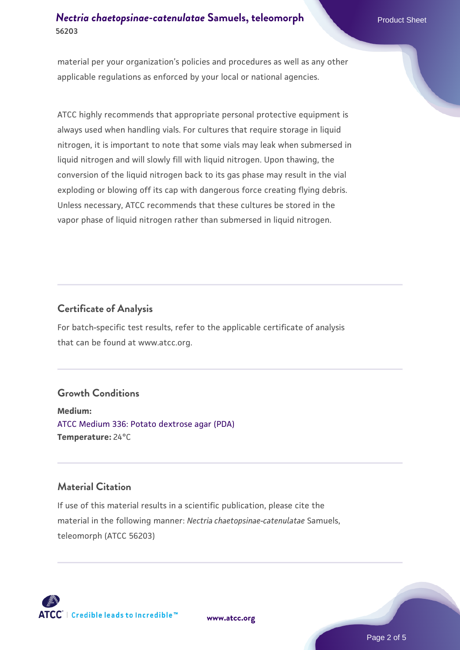# *[Nectria chaetopsinae-catenulatae](https://www.atcc.org/products/56203)* **[Samuels, teleomorph](https://www.atcc.org/products/56203) Product Sheet 56203**

material per your organization's policies and procedures as well as any other applicable regulations as enforced by your local or national agencies.

ATCC highly recommends that appropriate personal protective equipment is always used when handling vials. For cultures that require storage in liquid nitrogen, it is important to note that some vials may leak when submersed in liquid nitrogen and will slowly fill with liquid nitrogen. Upon thawing, the conversion of the liquid nitrogen back to its gas phase may result in the vial exploding or blowing off its cap with dangerous force creating flying debris. Unless necessary, ATCC recommends that these cultures be stored in the vapor phase of liquid nitrogen rather than submersed in liquid nitrogen.

# **Certificate of Analysis**

For batch-specific test results, refer to the applicable certificate of analysis that can be found at www.atcc.org.

#### **Growth Conditions**

**Medium:**  [ATCC Medium 336: Potato dextrose agar \(PDA\)](https://www.atcc.org/-/media/product-assets/documents/microbial-media-formulations/3/3/6/atcc-medium-336.pdf?rev=d9160ad44d934cd8b65175461abbf3b9) **Temperature:** 24°C

# **Material Citation**

If use of this material results in a scientific publication, please cite the material in the following manner: *Nectria chaetopsinae-catenulatae* Samuels, teleomorph (ATCC 56203)



**[www.atcc.org](http://www.atcc.org)**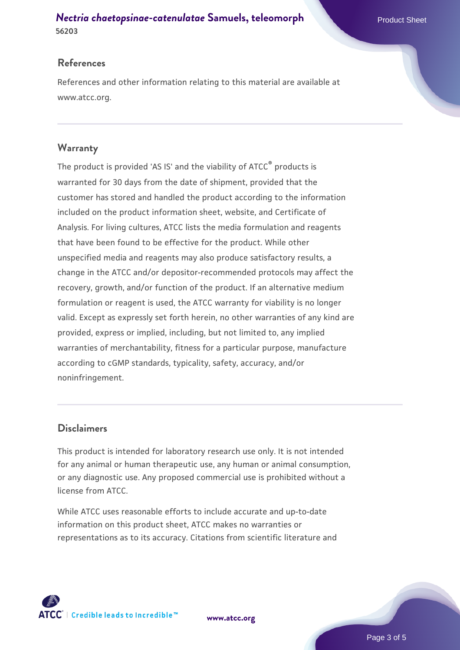#### *[Nectria chaetopsinae-catenulatae](https://www.atcc.org/products/56203)* **[Samuels, teleomorph](https://www.atcc.org/products/56203) Product Sheet 56203**

## **References**

References and other information relating to this material are available at www.atcc.org.

# **Warranty**

The product is provided 'AS IS' and the viability of ATCC® products is warranted for 30 days from the date of shipment, provided that the customer has stored and handled the product according to the information included on the product information sheet, website, and Certificate of Analysis. For living cultures, ATCC lists the media formulation and reagents that have been found to be effective for the product. While other unspecified media and reagents may also produce satisfactory results, a change in the ATCC and/or depositor-recommended protocols may affect the recovery, growth, and/or function of the product. If an alternative medium formulation or reagent is used, the ATCC warranty for viability is no longer valid. Except as expressly set forth herein, no other warranties of any kind are provided, express or implied, including, but not limited to, any implied warranties of merchantability, fitness for a particular purpose, manufacture according to cGMP standards, typicality, safety, accuracy, and/or noninfringement.

# **Disclaimers**

This product is intended for laboratory research use only. It is not intended for any animal or human therapeutic use, any human or animal consumption, or any diagnostic use. Any proposed commercial use is prohibited without a license from ATCC.

While ATCC uses reasonable efforts to include accurate and up-to-date information on this product sheet, ATCC makes no warranties or representations as to its accuracy. Citations from scientific literature and



**[www.atcc.org](http://www.atcc.org)**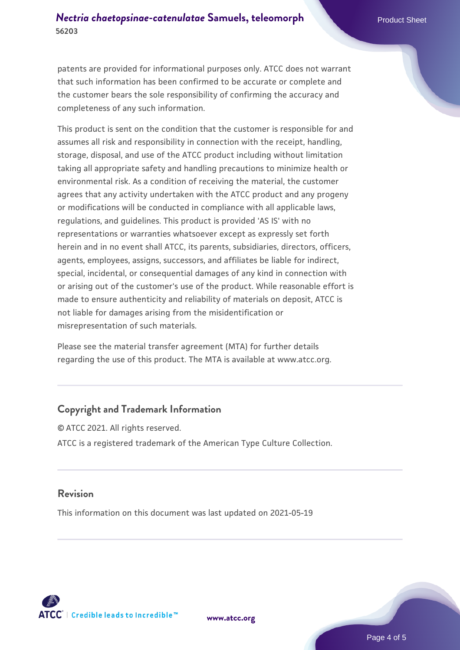patents are provided for informational purposes only. ATCC does not warrant that such information has been confirmed to be accurate or complete and the customer bears the sole responsibility of confirming the accuracy and completeness of any such information.

This product is sent on the condition that the customer is responsible for and assumes all risk and responsibility in connection with the receipt, handling, storage, disposal, and use of the ATCC product including without limitation taking all appropriate safety and handling precautions to minimize health or environmental risk. As a condition of receiving the material, the customer agrees that any activity undertaken with the ATCC product and any progeny or modifications will be conducted in compliance with all applicable laws, regulations, and guidelines. This product is provided 'AS IS' with no representations or warranties whatsoever except as expressly set forth herein and in no event shall ATCC, its parents, subsidiaries, directors, officers, agents, employees, assigns, successors, and affiliates be liable for indirect, special, incidental, or consequential damages of any kind in connection with or arising out of the customer's use of the product. While reasonable effort is made to ensure authenticity and reliability of materials on deposit, ATCC is not liable for damages arising from the misidentification or misrepresentation of such materials.

Please see the material transfer agreement (MTA) for further details regarding the use of this product. The MTA is available at www.atcc.org.

#### **Copyright and Trademark Information**

© ATCC 2021. All rights reserved. ATCC is a registered trademark of the American Type Culture Collection.

#### **Revision**

This information on this document was last updated on 2021-05-19



**[www.atcc.org](http://www.atcc.org)**